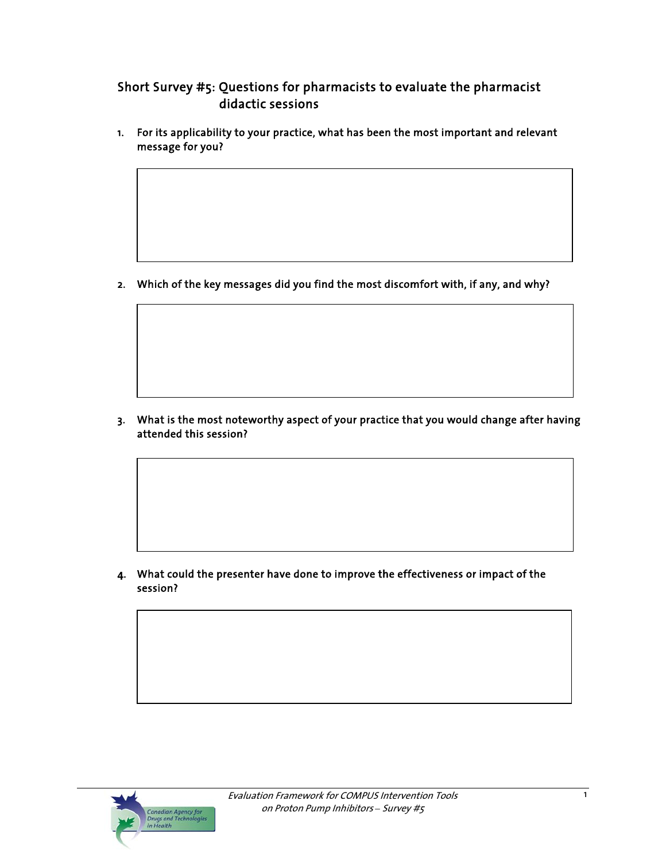# Short Survey #5: Questions for pharmacists to evaluate the pharmacist didactic sessions

1. For its applicability to your practice, what has been the most important and relevant message for you?

2. Which of the key messages did you find the most discomfort with, if any, and why?

3. What is the most noteworthy aspect of your practice that you would change after having attended this session?

4. What could the presenter have done to improve the effectiveness or impact of the session?

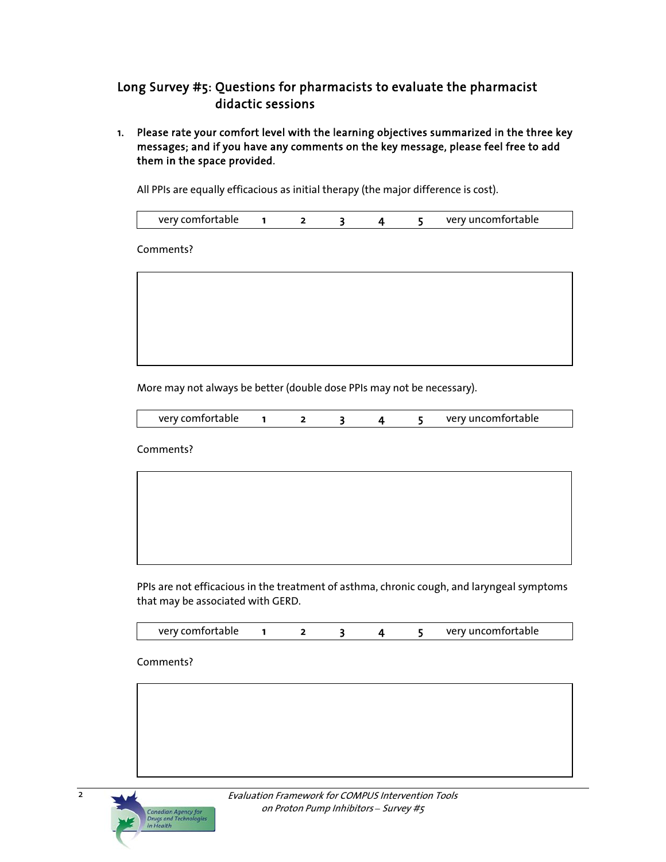## Long Survey #5: Questions for pharmacists to evaluate the pharmacist didactic sessions

1. Please rate your comfort level with the learning objectives summarized in the three key messages; and if you have any comments on the key message, please feel free to add them in the space provided.

All PPIs are equally efficacious as initial therapy (the major difference is cost).

|  | very comfortable |  |  |  |  |  | very uncomfortable |
|--|------------------|--|--|--|--|--|--------------------|
|--|------------------|--|--|--|--|--|--------------------|

Comments?



More may not always be better (double dose PPIs may not be necessary).

| very comfortable |  |  |  |  |  | very uncomfortable |
|------------------|--|--|--|--|--|--------------------|
|------------------|--|--|--|--|--|--------------------|

Comments?

PPIs are not efficacious in the treatment of asthma, chronic cough, and laryngeal symptoms that may be associated with GERD.

| very comfortable |  |  |  |  |  | very uncomfortable |
|------------------|--|--|--|--|--|--------------------|
|------------------|--|--|--|--|--|--------------------|

#### Comments?

**Canadian Agency for<br>Drugs and Technolog** 



2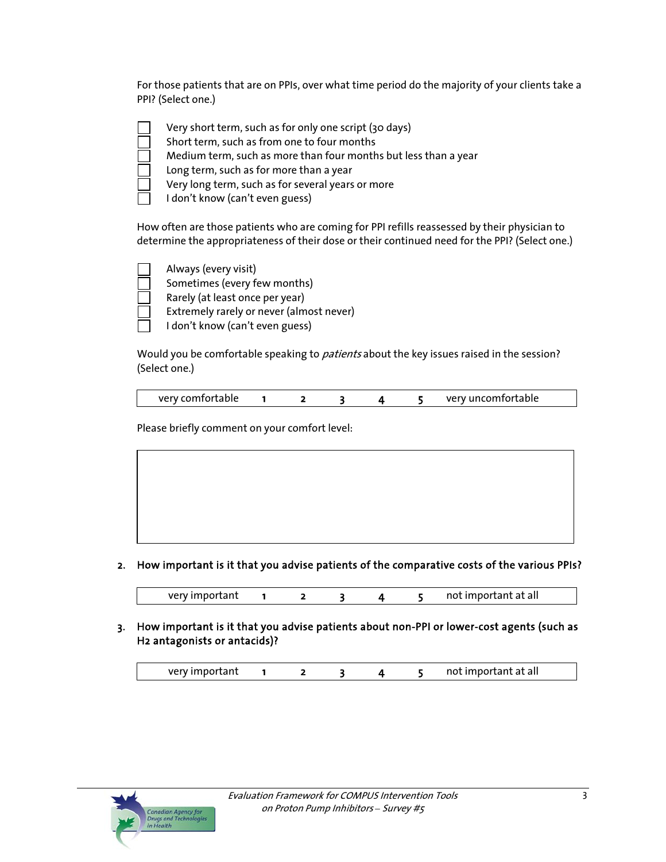For those patients that are on PPIs, over what time period do the majority of your clients take a PPI? (Select one.)

| Very short term, such as for only one script (30 days)          |
|-----------------------------------------------------------------|
| Short term, such as from one to four months                     |
| Medium term, such as more than four months but less than a year |
| Long term, such as for more than a year                         |
| Very long term, such as for several years or more               |
| I don't know (can't even guess)                                 |

How often are those patients who are coming for PPI refills reassessed by their physician to determine the appropriateness of their dose or their continued need for the PPI? (Select one.)



Would you be comfortable speaking to *patients* about the key issues raised in the session? (Select one.)

| verv comfortable |  |  | very uncomfortable |
|------------------|--|--|--------------------|

Please briefly comment on your comfort level:



### 2. How important is it that you advise patients of the comparative costs of the various PPIs?

very important 1 2 3 4 5 not important at all

3. How important is it that you advise patients about non-PPI or lower-cost agents (such as H2 antagonists or antacids)?

|  | very important | not important at all |
|--|----------------|----------------------|
|--|----------------|----------------------|

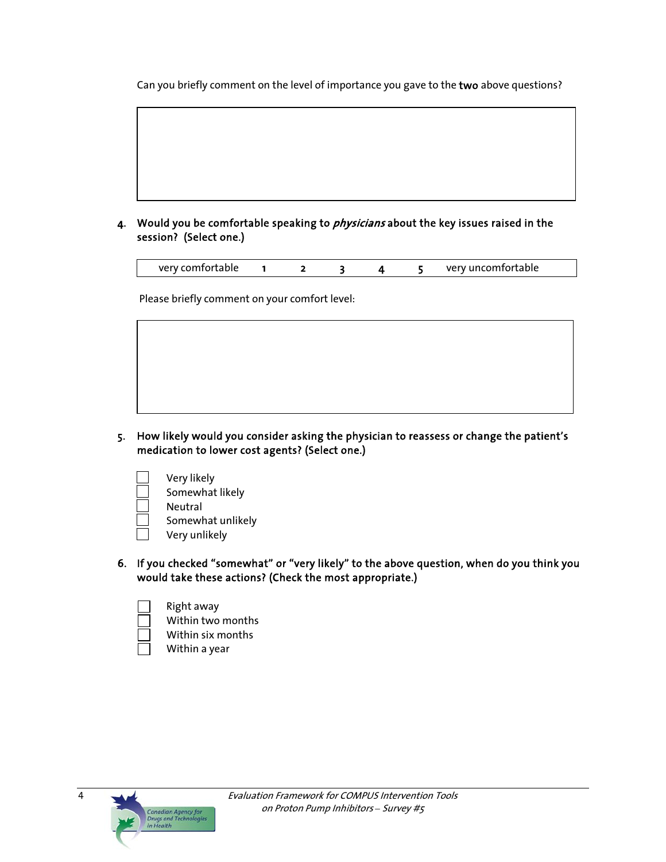Can you briefly comment on the level of importance you gave to the two above questions?

### 4. Would you be comfortable speaking to *physicians* about the key issues raised in the session? (Select one.)

| very comfortable |  |  |  |  |  | very uncomfortable |
|------------------|--|--|--|--|--|--------------------|
|------------------|--|--|--|--|--|--------------------|

Please briefly comment on your comfort level:

- 5. How likely would you consider asking the physician to reassess or change the patient's medication to lower cost agents? (Select one.)
	- Very likely Somewhat likely Neutral Somewhat unlikely Very unlikely
- 6. If you checked "somewhat" or "very likely" to the above question, when do you think you would take these actions? (Check the most appropriate.)
	- Right away Within two months Within six months
		- Within a year



4